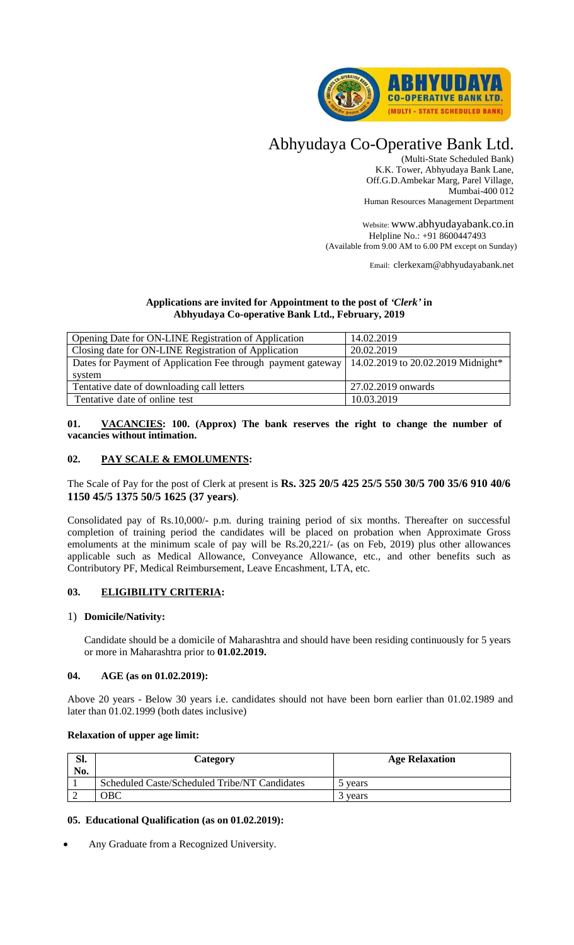

# Abhyudaya Co-Operative Bank Ltd.

(Multi-State Scheduled Bank) K.K. Tower, Abhyudaya Bank Lane, Off.G.D.Ambekar Marg, Parel Village, Mumbai-400 012 Human Resources Management Department

Website: www.abhyudayabank.co.in Helpline No.: +91 8600447493 (Available from 9.00 AM to 6.00 PM except on Sunday)

Email: clerkexam@abhyudayabank.net

# **Applications are invited for Appointment to the post of** *'Clerk'* **in Abhyudaya Co-operative Bank Ltd., February, 2019**

| Opening Date for ON-LINE Registration of Application                                              | 14.02.2019         |  |  |
|---------------------------------------------------------------------------------------------------|--------------------|--|--|
| Closing date for ON-LINE Registration of Application                                              | 20.02.2019         |  |  |
| Dates for Payment of Application Fee through payment gateway   14.02.2019 to 20.02.2019 Midnight* |                    |  |  |
| system                                                                                            |                    |  |  |
| Tentative date of downloading call letters                                                        | 27.02.2019 onwards |  |  |
| Tentative date of online test                                                                     | 10.03.2019         |  |  |

# **01. VACANCIES: 100. (Approx) The bank reserves the right to change the number of vacancies without intimation.**

# **02. PAY SCALE & EMOLUMENTS:**

The Scale of Pay for the post of Clerk at present is **Rs. 325 20/5 425 25/5 550 30/5 700 35/6 910 40/6 1150 45/5 1375 50/5 1625 (37 years)**.

Consolidated pay of Rs.10,000/- p.m. during training period of six months. Thereafter on successful completion of training period the candidates will be placed on probation when Approximate Gross emoluments at the minimum scale of pay will be Rs.20,221/- (as on Feb, 2019) plus other allowances applicable such as Medical Allowance, Conveyance Allowance, etc., and other benefits such as Contributory PF, Medical Reimbursement, Leave Encashment, LTA, etc.

# **03. ELIGIBILITY CRITERIA:**

#### 1) **Domicile/Nativity:**

Candidate should be a domicile of Maharashtra and should have been residing continuously for 5 years or more in Maharashtra prior to **01.02.2019.**

#### **04. AGE (as on 01.02.2019):**

Above 20 years - Below 30 years i.e. candidates should not have been born earlier than 01.02.1989 and later than 01.02.1999 (both dates inclusive)

#### **Relaxation of upper age limit:**

| Sl.<br>No. | Category                                      | <b>Age Relaxation</b> |
|------------|-----------------------------------------------|-----------------------|
|            | Scheduled Caste/Scheduled Tribe/NT Candidates | the vears             |
|            | <b>OBC</b>                                    | b years               |

# **05. Educational Qualification (as on 01.02.2019):**

Any Graduate from a Recognized University.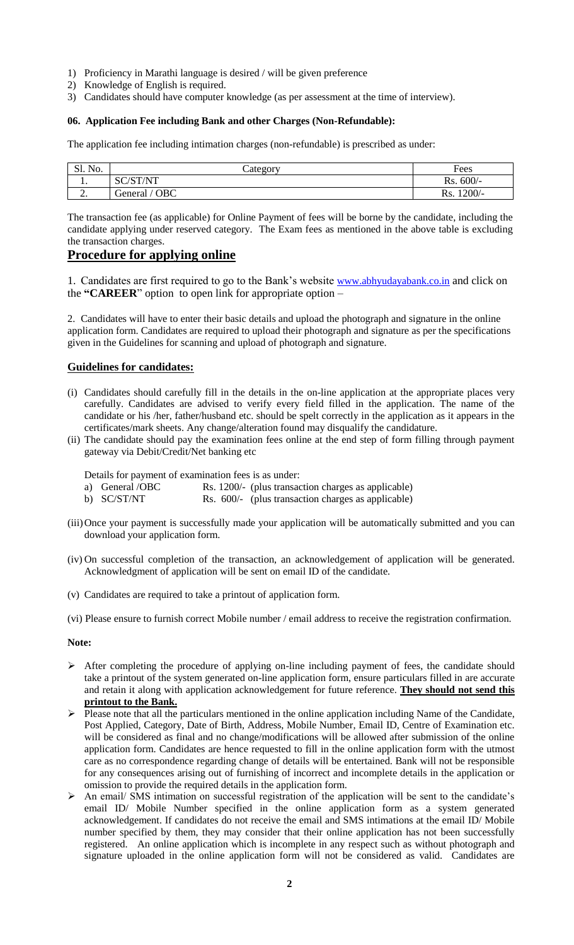- 1) Proficiency in Marathi language is desired / will be given preference
- 2) Knowledge of English is required.
- 3) Candidates should have computer knowledge (as per assessment at the time of interview).

#### **06. Application Fee including Bank and other Charges (Non-Refundable):**

The application fee including intimation charges (non-refundable) is prescribed as under:

| Sl. No.    | Lategory                         | Fees            |
|------------|----------------------------------|-----------------|
| . .        | $\sqrt{C}T/N$ $TT$<br>SС<br>IN 1 | $600/-$<br>Rs.  |
| <u>L</u> . | <b>OBC</b><br>General            | $1200/-$<br>Rs. |

The transaction fee (as applicable) for Online Payment of fees will be borne by the candidate, including the candidate applying under reserved category. The Exam fees as mentioned in the above table is excluding the transaction charges.

# **Procedure for applying online**

1. Candidates are first required to go to the Bank's website [www.abhyudayabank.](http://www.abhyudayabank/)co.in and click on the **"CAREER**" option to open link for appropriate option –

2. Candidates will have to enter their basic details and upload the photograph and signature in the online application form. Candidates are required to upload their photograph and signature as per the specifications given in the Guidelines for scanning and upload of photograph and signature.

# **Guidelines for candidates:**

- (i) Candidates should carefully fill in the details in the on-line application at the appropriate places very carefully. Candidates are advised to verify every field filled in the application. The name of the candidate or his /her, father/husband etc. should be spelt correctly in the application as it appears in the certificates/mark sheets. Any change/alteration found may disqualify the candidature.
- (ii) The candidate should pay the examination fees online at the end step of form filling through payment gateway via Debit/Credit/Net banking etc

Details for payment of examination fees is as under:

- a) General /OBC Rs. 1200/- (plus transaction charges as applicable)
- b) SC/ST/NT Rs. 600/- (plus transaction charges as applicable)
- (iii)Once your payment is successfully made your application will be automatically submitted and you can download your application form.
- (iv) On successful completion of the transaction, an acknowledgement of application will be generated. Acknowledgment of application will be sent on email ID of the candidate.
- (v) Candidates are required to take a printout of application form.
- (vi) Please ensure to furnish correct Mobile number / email address to receive the registration confirmation.

#### **Note:**

- After completing the procedure of applying on-line including payment of fees, the candidate should take a printout of the system generated on-line application form, ensure particulars filled in are accurate and retain it along with application acknowledgement for future reference. **They should not send this printout to the Bank.**
- Please note that all the particulars mentioned in the online application including Name of the Candidate, Post Applied, Category, Date of Birth, Address, Mobile Number, Email ID, Centre of Examination etc. will be considered as final and no change/modifications will be allowed after submission of the online application form. Candidates are hence requested to fill in the online application form with the utmost care as no correspondence regarding change of details will be entertained. Bank will not be responsible for any consequences arising out of furnishing of incorrect and incomplete details in the application or omission to provide the required details in the application form.
- An email/ SMS intimation on successful registration of the application will be sent to the candidate's email ID/ Mobile Number specified in the online application form as a system generated acknowledgement. If candidates do not receive the email and SMS intimations at the email ID/ Mobile number specified by them, they may consider that their online application has not been successfully registered. An online application which is incomplete in any respect such as without photograph and signature uploaded in the online application form will not be considered as valid. Candidates are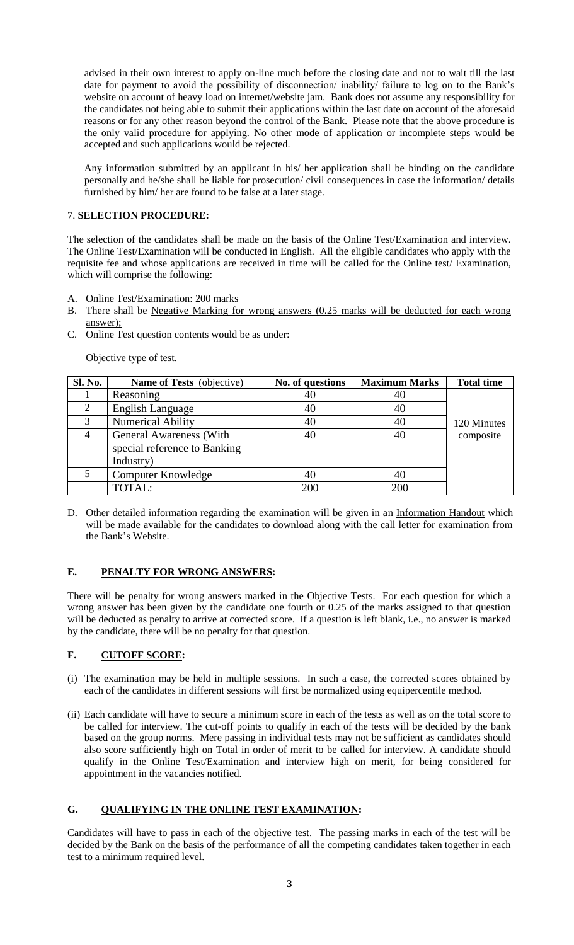advised in their own interest to apply on-line much before the closing date and not to wait till the last date for payment to avoid the possibility of disconnection/ inability/ failure to log on to the Bank's website on account of heavy load on internet/website jam. Bank does not assume any responsibility for the candidates not being able to submit their applications within the last date on account of the aforesaid reasons or for any other reason beyond the control of the Bank. Please note that the above procedure is the only valid procedure for applying. No other mode of application or incomplete steps would be accepted and such applications would be rejected.

Any information submitted by an applicant in his/ her application shall be binding on the candidate personally and he/she shall be liable for prosecution/ civil consequences in case the information/ details furnished by him/ her are found to be false at a later stage.

# 7. **SELECTION PROCEDURE:**

The selection of the candidates shall be made on the basis of the Online Test/Examination and interview. The Online Test/Examination will be conducted in English. All the eligible candidates who apply with the requisite fee and whose applications are received in time will be called for the Online test/ Examination, which will comprise the following:

- A. Online Test/Examination: 200 marks
- B. There shall be Negative Marking for wrong answers (0.25 marks will be deducted for each wrong answer);
- C. Online Test question contents would be as under:

Objective type of test.

| Sl. No. | <b>Name of Tests</b> (objective) | No. of questions | <b>Maximum Marks</b> | <b>Total time</b> |  |
|---------|----------------------------------|------------------|----------------------|-------------------|--|
|         | Reasoning                        | 40               | 40                   |                   |  |
| 2       | <b>English Language</b>          | 40               | 40                   |                   |  |
| 3       | <b>Numerical Ability</b>         | 40               | 40                   | 120 Minutes       |  |
|         | <b>General Awareness (With</b>   | 40               | 40                   | composite         |  |
|         | special reference to Banking     |                  |                      |                   |  |
|         | Industry)                        |                  |                      |                   |  |
|         | Computer Knowledge               | 40               | 40                   |                   |  |
|         | TOTAL:                           | 200              | 200                  |                   |  |

D. Other detailed information regarding the examination will be given in an Information Handout which will be made available for the candidates to download along with the call letter for examination from the Bank's Website.

#### **E. PENALTY FOR WRONG ANSWERS:**

There will be penalty for wrong answers marked in the Objective Tests. For each question for which a wrong answer has been given by the candidate one fourth or 0.25 of the marks assigned to that question will be deducted as penalty to arrive at corrected score. If a question is left blank, i.e., no answer is marked by the candidate, there will be no penalty for that question.

#### **F. CUTOFF SCORE:**

- (i) The examination may be held in multiple sessions. In such a case, the corrected scores obtained by each of the candidates in different sessions will first be normalized using equipercentile method.
- (ii) Each candidate will have to secure a minimum score in each of the tests as well as on the total score to be called for interview. The cut-off points to qualify in each of the tests will be decided by the bank based on the group norms. Mere passing in individual tests may not be sufficient as candidates should also score sufficiently high on Total in order of merit to be called for interview. A candidate should qualify in the Online Test/Examination and interview high on merit, for being considered for appointment in the vacancies notified.

#### **G. QUALIFYING IN THE ONLINE TEST EXAMINATION:**

Candidates will have to pass in each of the objective test. The passing marks in each of the test will be decided by the Bank on the basis of the performance of all the competing candidates taken together in each test to a minimum required level.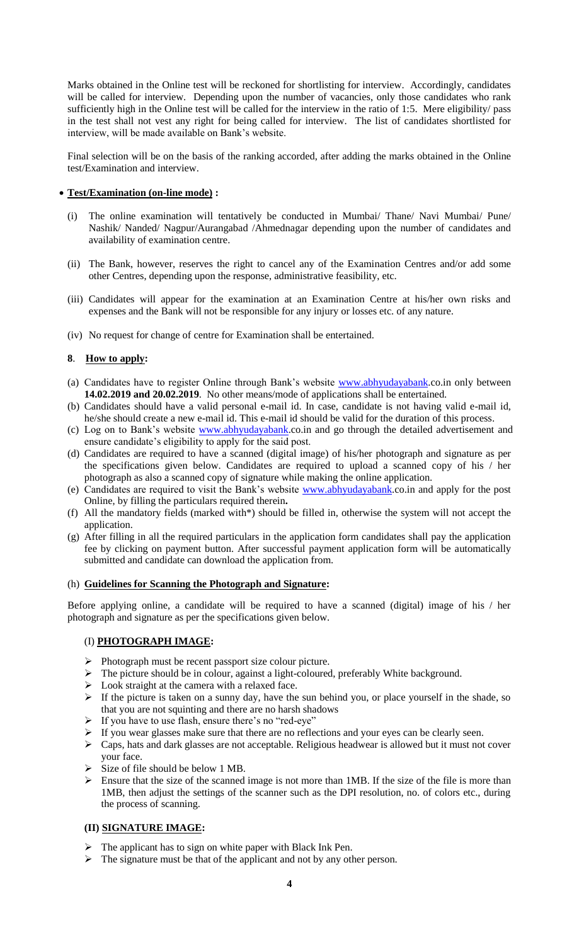Marks obtained in the Online test will be reckoned for shortlisting for interview. Accordingly, candidates will be called for interview. Depending upon the number of vacancies, only those candidates who rank sufficiently high in the Online test will be called for the interview in the ratio of 1:5. Mere eligibility/ pass in the test shall not vest any right for being called for interview. The list of candidates shortlisted for interview, will be made available on Bank's website.

Final selection will be on the basis of the ranking accorded, after adding the marks obtained in the Online test/Examination and interview.

#### **Test/Examination (on-line mode) :**

- (i) The online examination will tentatively be conducted in Mumbai/ Thane/ Navi Mumbai/ Pune/ Nashik/ Nanded/ Nagpur/Aurangabad /Ahmednagar depending upon the number of candidates and availability of examination centre.
- (ii) The Bank, however, reserves the right to cancel any of the Examination Centres and/or add some other Centres, depending upon the response, administrative feasibility, etc.
- (iii) Candidates will appear for the examination at an Examination Centre at his/her own risks and expenses and the Bank will not be responsible for any injury or losses etc. of any nature.
- (iv) No request for change of centre for Examination shall be entertained.

#### **8**. **How to apply:**

- (a) Candidates have to register Online through Bank's website [www.abhyudayabank.](http://www.abhyudayabank/)co.in only between **14.02.2019 and 20.02.2019**. No other means/mode of applications shall be entertained.
- (b) Candidates should have a valid personal e-mail id. In case, candidate is not having valid e-mail id, he/she should create a new e-mail id. This e-mail id should be valid for the duration of this process.
- (c) Log on to Bank's website [www.abhyudayabank.](http://www.abhyudayabank/)co.in and go through the detailed advertisement and ensure candidate's eligibility to apply for the said post.
- (d) Candidates are required to have a scanned (digital image) of his/her photograph and signature as per the specifications given below. Candidates are required to upload a scanned copy of his / her photograph as also a scanned copy of signature while making the online application.
- (e) Candidates are required to visit the Bank's website [www.abhyudayabank.](http://www.abhyudayabank/)co.in and apply for the post Online, by filling the particulars required therein**.**
- (f) All the mandatory fields (marked with\*) should be filled in, otherwise the system will not accept the application.
- (g) After filling in all the required particulars in the application form candidates shall pay the application fee by clicking on payment button. After successful payment application form will be automatically submitted and candidate can download the application from.

#### (h) **Guidelines for Scanning the Photograph and Signature:**

Before applying online, a candidate will be required to have a scanned (digital) image of his / her photograph and signature as per the specifications given below.

#### (I) **PHOTOGRAPH IMAGE:**

- $\triangleright$  Photograph must be recent passport size colour picture.
- > The picture should be in colour, against a light-coloured, preferably White background.
- $\triangleright$  Look straight at the camera with a relaxed face.
- $\triangleright$  If the picture is taken on a sunny day, have the sun behind you, or place yourself in the shade, so that you are not squinting and there are no harsh shadows
- > If you have to use flash, ensure there's no "red-eye"
- $\triangleright$  If you wear glasses make sure that there are no reflections and your eyes can be clearly seen.
- Caps, hats and dark glasses are not acceptable. Religious headwear is allowed but it must not cover your face.
- Size of file should be below 1 MB.
- $\triangleright$  Ensure that the size of the scanned image is not more than 1MB. If the size of the file is more than 1MB, then adjust the settings of the scanner such as the DPI resolution, no. of colors etc., during the process of scanning.

#### **(II) SIGNATURE IMAGE:**

- The applicant has to sign on white paper with Black Ink Pen.
- $\triangleright$  The signature must be that of the applicant and not by any other person.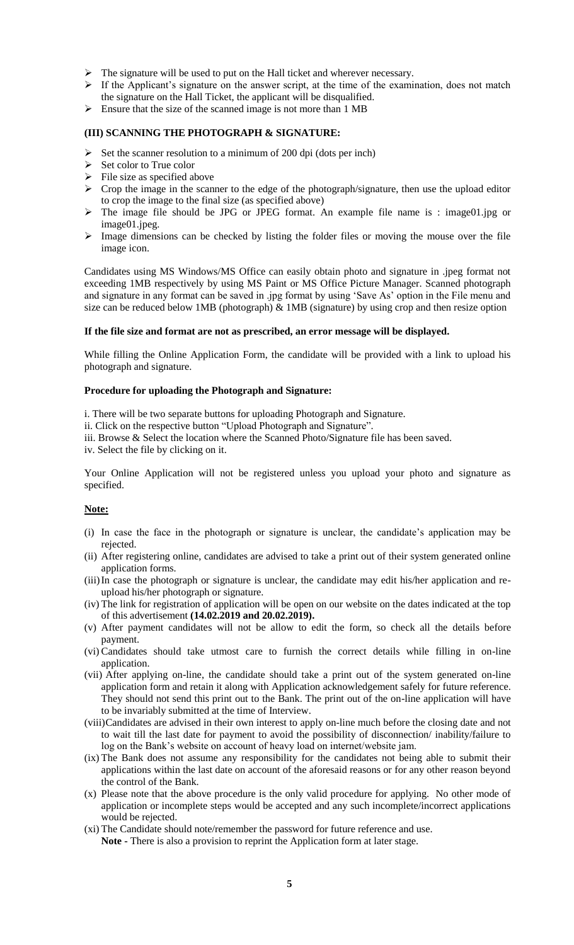- $\triangleright$  The signature will be used to put on the Hall ticket and wherever necessary.
- $\triangleright$  If the Applicant's signature on the answer script, at the time of the examination, does not match the signature on the Hall Ticket, the applicant will be disqualified.
- $\triangleright$  Ensure that the size of the scanned image is not more than 1 MB

#### **(III) SCANNING THE PHOTOGRAPH & SIGNATURE:**

- $\triangleright$  Set the scanner resolution to a minimum of 200 dpi (dots per inch)
- $\triangleright$  Set color to True color
- $\triangleright$  File size as specified above
- $\triangleright$  Crop the image in the scanner to the edge of the photograph/signature, then use the upload editor to crop the image to the final size (as specified above)
- The image file should be JPG or JPEG format. An example file name is : image01.jpg or image01.jpeg.
- $\triangleright$  Image dimensions can be checked by listing the folder files or moving the mouse over the file image icon.

Candidates using MS Windows/MS Office can easily obtain photo and signature in .jpeg format not exceeding 1MB respectively by using MS Paint or MS Office Picture Manager. Scanned photograph and signature in any format can be saved in .jpg format by using 'Save As' option in the File menu and size can be reduced below 1MB (photograph)  $\&$  1MB (signature) by using crop and then resize option

#### **If the file size and format are not as prescribed, an error message will be displayed.**

While filling the Online Application Form, the candidate will be provided with a link to upload his photograph and signature.

#### **Procedure for uploading the Photograph and Signature:**

i. There will be two separate buttons for uploading Photograph and Signature.

ii. Click on the respective button "Upload Photograph and Signature".

iii. Browse & Select the location where the Scanned Photo/Signature file has been saved.

iv. Select the file by clicking on it.

Your Online Application will not be registered unless you upload your photo and signature as specified.

#### **Note:**

- (i) In case the face in the photograph or signature is unclear, the candidate's application may be rejected.
- (ii) After registering online, candidates are advised to take a print out of their system generated online application forms.
- (iii)In case the photograph or signature is unclear, the candidate may edit his/her application and reupload his/her photograph or signature.
- (iv) The link for registration of application will be open on our website on the dates indicated at the top of this advertisement **(14.02.2019 and 20.02.2019).**
- (v) After payment candidates will not be allow to edit the form, so check all the details before payment.
- (vi) Candidates should take utmost care to furnish the correct details while filling in on-line application.
- (vii) After applying on-line, the candidate should take a print out of the system generated on-line application form and retain it along with Application acknowledgement safely for future reference. They should not send this print out to the Bank. The print out of the on-line application will have to be invariably submitted at the time of Interview.
- (viii)Candidates are advised in their own interest to apply on-line much before the closing date and not to wait till the last date for payment to avoid the possibility of disconnection/ inability/failure to log on the Bank's website on account of heavy load on internet/website jam.
- (ix) The Bank does not assume any responsibility for the candidates not being able to submit their applications within the last date on account of the aforesaid reasons or for any other reason beyond the control of the Bank.
- (x) Please note that the above procedure is the only valid procedure for applying. No other mode of application or incomplete steps would be accepted and any such incomplete/incorrect applications would be rejected.
- (xi) The Candidate should note/remember the password for future reference and use. **Note -** There is also a provision to reprint the Application form at later stage.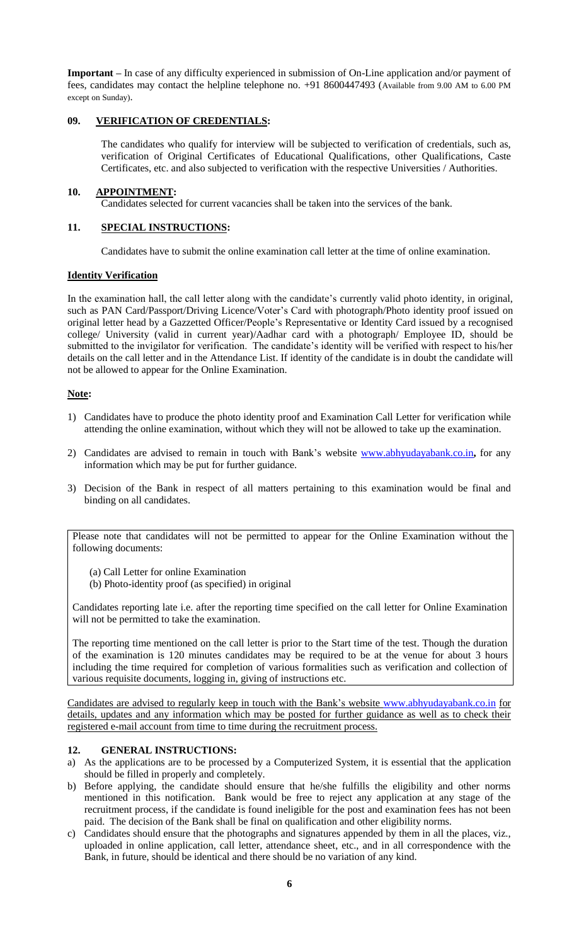**Important –** In case of any difficulty experienced in submission of On-Line application and/or payment of fees, candidates may contact the helpline telephone no. +91 8600447493 (Available from 9.00 AM to 6.00 PM except on Sunday).

#### **09. VERIFICATION OF CREDENTIALS:**

The candidates who qualify for interview will be subjected to verification of credentials, such as, verification of Original Certificates of Educational Qualifications, other Qualifications, Caste Certificates, etc. and also subjected to verification with the respective Universities / Authorities.

# **10. APPOINTMENT:**

Candidates selected for current vacancies shall be taken into the services of the bank.

# **11. SPECIAL INSTRUCTIONS:**

Candidates have to submit the online examination call letter at the time of online examination.

#### **Identity Verification**

In the examination hall, the call letter along with the candidate's currently valid photo identity, in original, such as PAN Card/Passport/Driving Licence/Voter's Card with photograph/Photo identity proof issued on original letter head by a Gazzetted Officer/People's Representative or Identity Card issued by a recognised college/ University (valid in current year)/Aadhar card with a photograph/ Employee ID, should be submitted to the invigilator for verification. The candidate's identity will be verified with respect to his/her details on the call letter and in the Attendance List. If identity of the candidate is in doubt the candidate will not be allowed to appear for the Online Examination.

#### **Note:**

- 1) Candidates have to produce the photo identity proof and Examination Call Letter for verification while attending the online examination, without which they will not be allowed to take up the examination.
- 2) Candidates are advised to remain in touch with Bank's website [www.abhyudayabank.](http://www.abhyudayabank/)co.in**,** for any information which may be put for further guidance.
- 3) Decision of the Bank in respect of all matters pertaining to this examination would be final and binding on all candidates.

Please note that candidates will not be permitted to appear for the Online Examination without the following documents:

- (a) Call Letter for online Examination
- (b) Photo-identity proof (as specified) in original

Candidates reporting late i.e. after the reporting time specified on the call letter for Online Examination will not be permitted to take the examination.

The reporting time mentioned on the call letter is prior to the Start time of the test. Though the duration of the examination is 120 minutes candidates may be required to be at the venue for about 3 hours including the time required for completion of various formalities such as verification and collection of various requisite documents, logging in, giving of instructions etc.

Candidates are advised to regularly keep in touch with the Bank's website [www.abhyudayabank.](http://www.abhyudayabank/)co.in for details, updates and any information which may be posted for further guidance as well as to check their registered e-mail account from time to time during the recruitment process.

#### **12. GENERAL INSTRUCTIONS:**

- a) As the applications are to be processed by a Computerized System, it is essential that the application should be filled in properly and completely.
- b) Before applying, the candidate should ensure that he/she fulfills the eligibility and other norms mentioned in this notification. Bank would be free to reject any application at any stage of the recruitment process, if the candidate is found ineligible for the post and examination fees has not been paid. The decision of the Bank shall be final on qualification and other eligibility norms.
- c) Candidates should ensure that the photographs and signatures appended by them in all the places, viz., uploaded in online application, call letter, attendance sheet, etc., and in all correspondence with the Bank, in future, should be identical and there should be no variation of any kind.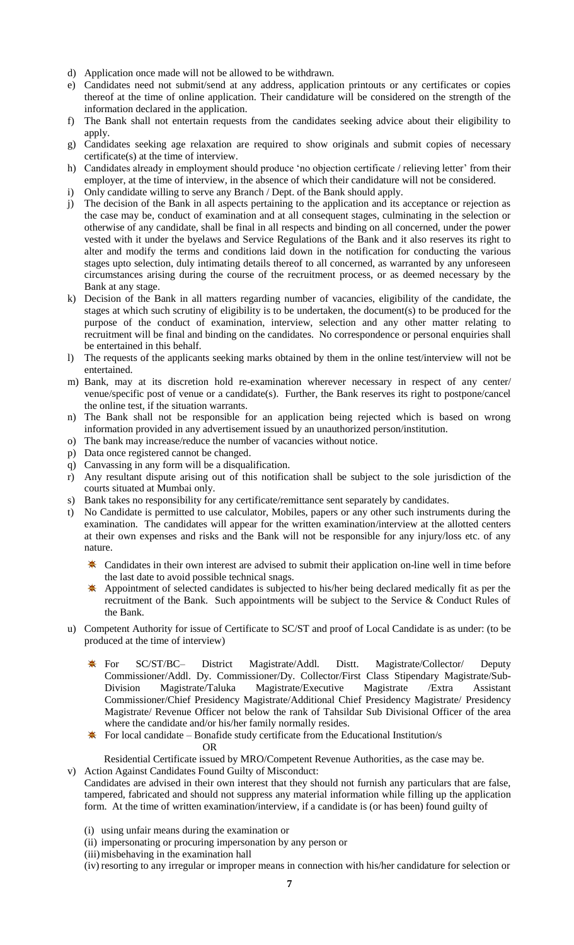- d) Application once made will not be allowed to be withdrawn.
- e) Candidates need not submit/send at any address, application printouts or any certificates or copies thereof at the time of online application. Their candidature will be considered on the strength of the information declared in the application.
- f) The Bank shall not entertain requests from the candidates seeking advice about their eligibility to apply.
- g) Candidates seeking age relaxation are required to show originals and submit copies of necessary certificate(s) at the time of interview.
- h) Candidates already in employment should produce 'no objection certificate / relieving letter' from their employer, at the time of interview, in the absence of which their candidature will not be considered.
- i) Only candidate willing to serve any Branch / Dept. of the Bank should apply.
- j) The decision of the Bank in all aspects pertaining to the application and its acceptance or rejection as the case may be, conduct of examination and at all consequent stages, culminating in the selection or otherwise of any candidate, shall be final in all respects and binding on all concerned, under the power vested with it under the byelaws and Service Regulations of the Bank and it also reserves its right to alter and modify the terms and conditions laid down in the notification for conducting the various stages upto selection, duly intimating details thereof to all concerned, as warranted by any unforeseen circumstances arising during the course of the recruitment process, or as deemed necessary by the Bank at any stage.
- k) Decision of the Bank in all matters regarding number of vacancies, eligibility of the candidate, the stages at which such scrutiny of eligibility is to be undertaken, the document(s) to be produced for the purpose of the conduct of examination, interview, selection and any other matter relating to recruitment will be final and binding on the candidates. No correspondence or personal enquiries shall be entertained in this behalf.
- l) The requests of the applicants seeking marks obtained by them in the online test/interview will not be entertained.
- m) Bank, may at its discretion hold re-examination wherever necessary in respect of any center/ venue/specific post of venue or a candidate(s). Further, the Bank reserves its right to postpone/cancel the online test, if the situation warrants.
- n) The Bank shall not be responsible for an application being rejected which is based on wrong information provided in any advertisement issued by an unauthorized person/institution.
- o) The bank may increase/reduce the number of vacancies without notice.
- p) Data once registered cannot be changed.
- q) Canvassing in any form will be a disqualification.
- r) Any resultant dispute arising out of this notification shall be subject to the sole jurisdiction of the courts situated at Mumbai only.
- s) Bank takes no responsibility for any certificate/remittance sent separately by candidates.
- t) No Candidate is permitted to use calculator, Mobiles, papers or any other such instruments during the examination. The candidates will appear for the written examination/interview at the allotted centers at their own expenses and risks and the Bank will not be responsible for any injury/loss etc. of any nature.
	- Candidates in their own interest are advised to submit their application on-line well in time before the last date to avoid possible technical snags.
	- Appointment of selected candidates is subjected to his/her being declared medically fit as per the recruitment of the Bank. Such appointments will be subject to the Service & Conduct Rules of the Bank.
- u) Competent Authority for issue of Certificate to SC/ST and proof of Local Candidate is as under: (to be produced at the time of interview)
	- For SC/ST/BC– District Magistrate/Addl. Distt. Magistrate/Collector/ Deputy ♣ Commissioner/Addl. Dy. Commissioner/Dy. Collector/First Class Stipendary Magistrate/Sub-Division Magistrate/Taluka Magistrate/Executive Magistrate /Extra Assistant Commissioner/Chief Presidency Magistrate/Additional Chief Presidency Magistrate/ Presidency Magistrate/ Revenue Officer not below the rank of Tahsildar Sub Divisional Officer of the area where the candidate and/or his/her family normally resides.
	- $\textbf{\text{*}}$  For local candidate Bonafide study certificate from the Educational Institution/s

OR

Residential Certificate issued by MRO/Competent Revenue Authorities, as the case may be. v) Action Against Candidates Found Guilty of Misconduct:

- Candidates are advised in their own interest that they should not furnish any particulars that are false, tampered, fabricated and should not suppress any material information while filling up the application form. At the time of written examination/interview, if a candidate is (or has been) found guilty of
	- (i) using unfair means during the examination or
	- (ii) impersonating or procuring impersonation by any person or
	- (iii) misbehaving in the examination hall
	- (iv) resorting to any irregular or improper means in connection with his/her candidature for selection or